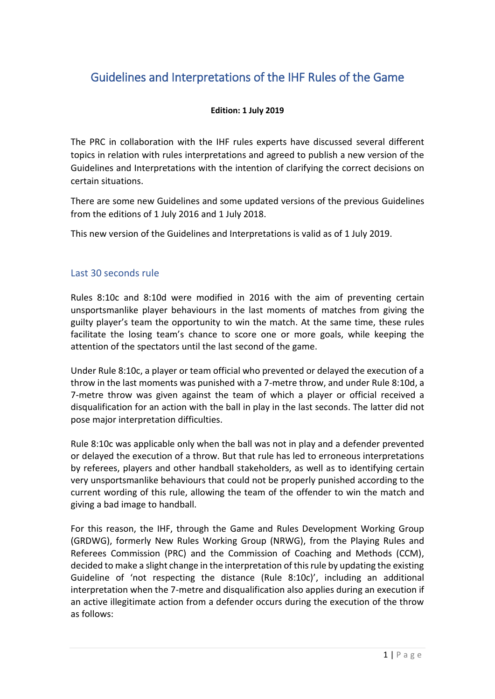# Guidelines and Interpretations of the IHF Rules of the Game

### **Edition: 1 July 2019**

The PRC in collaboration with the IHF rules experts have discussed several different topics in relation with rules interpretations and agreed to publish a new version of the Guidelines and Interpretations with the intention of clarifying the correct decisions on certain situations.

There are some new Guidelines and some updated versions of the previous Guidelines from the editions of 1 July 2016 and 1 July 2018.

This new version of the Guidelines and Interpretations is valid as of 1 July 2019.

# Last 30 seconds rule

Rules 8:10c and 8:10d were modified in 2016 with the aim of preventing certain unsportsmanlike player behaviours in the last moments of matches from giving the guilty player's team the opportunity to win the match. At the same time, these rules facilitate the losing team's chance to score one or more goals, while keeping the attention of the spectators until the last second of the game.

Under Rule 8:10c, a player or team official who prevented or delayed the execution of a throw in the last moments was punished with a 7-metre throw, and under Rule 8:10d, a 7-metre throw was given against the team of which a player or official received a disqualification for an action with the ball in play in the last seconds. The latter did not pose major interpretation difficulties.

Rule 8:10c was applicable only when the ball was not in play and a defender prevented or delayed the execution of a throw. But that rule has led to erroneous interpretations by referees, players and other handball stakeholders, as well as to identifying certain very unsportsmanlike behaviours that could not be properly punished according to the current wording of this rule, allowing the team of the offender to win the match and giving a bad image to handball.

For this reason, the IHF, through the Game and Rules Development Working Group (GRDWG), formerly New Rules Working Group (NRWG), from the Playing Rules and Referees Commission (PRC) and the Commission of Coaching and Methods (CCM), decided to make a slight change in the interpretation of this rule by updating the existing Guideline of 'not respecting the distance (Rule 8:10c)', including an additional interpretation when the 7-metre and disqualification also applies during an execution if an active illegitimate action from a defender occurs during the execution of the throw as follows: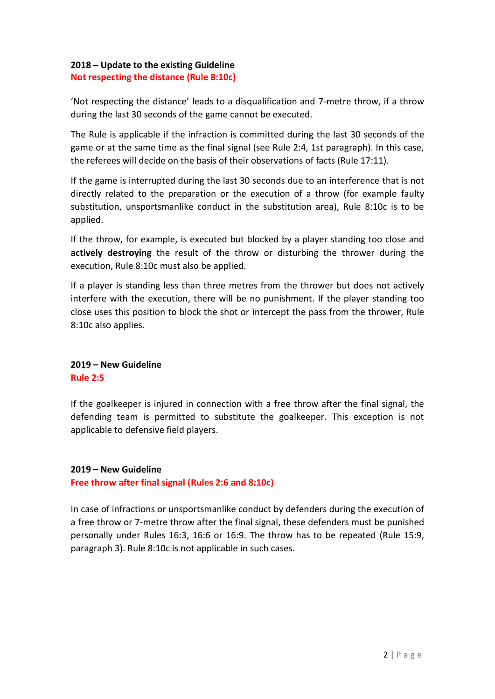### **2018 – Update to the existing Guideline Not respecting the distance (Rule 8:10c)**

'Not respecting the distance' leads to a disqualification and 7-metre throw, if a throw during the last 30 seconds of the game cannot be executed.

The Rule is applicable if the infraction is committed during the last 30 seconds of the game or at the same time as the final signal (see Rule 2:4, 1st paragraph). In this case, the referees will decide on the basis of their observations of facts (Rule 17:11).

If the game is interrupted during the last 30 seconds due to an interference that is not directly related to the preparation or the execution of a throw (for example faulty substitution, unsportsmanlike conduct in the substitution area), Rule 8:10c is to be applied.

If the throw, for example, is executed but blocked by a player standing too close and **actively destroying** the result of the throw or disturbing the thrower during the execution, Rule 8:10c must also be applied.

If a player is standing less than three metres from the thrower but does not actively interfere with the execution, there will be no punishment. If the player standing too close uses this position to block the shot or intercept the pass from the thrower, Rule 8:10c also applies.

# **2019 – New Guideline Rule 2:5**

If the goalkeeper is injured in connection with a free throw after the final signal, the defending team is permitted to substitute the goalkeeper. This exception is not applicable to defensive field players.

# **2019 – New Guideline**

**Free throw after final signal (Rules 2:6 and 8:10c)**

In case of infractions or unsportsmanlike conduct by defenders during the execution of a free throw or 7-metre throw after the final signal, these defenders must be punished personally under Rules 16:3, 16:6 or 16:9. The throw has to be repeated (Rule 15:9, paragraph 3). Rule 8:10c is not applicable in such cases.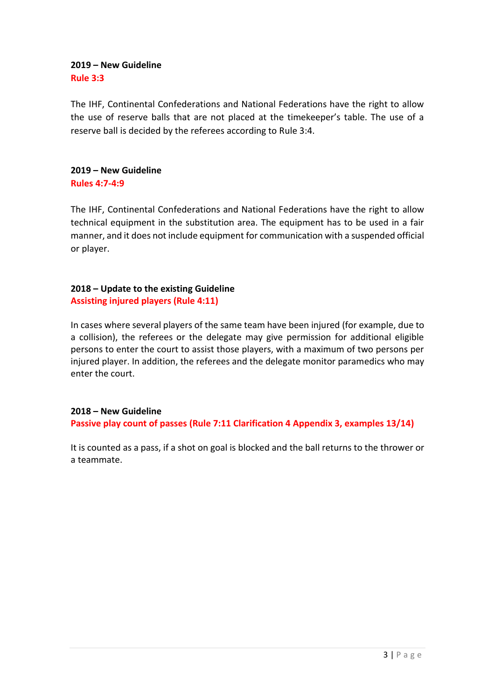### **2019 – New Guideline Rule 3:3**

The IHF, Continental Confederations and National Federations have the right to allow the use of reserve balls that are not placed at the timekeeper's table. The use of a reserve ball is decided by the referees according to Rule 3:4.

### **2019 – New Guideline Rules 4:7-4:9**

The IHF, Continental Confederations and National Federations have the right to allow technical equipment in the substitution area. The equipment has to be used in a fair manner, and it does not include equipment for communication with a suspended official or player.

## **2018 – Update to the existing Guideline Assisting injured players (Rule 4:11)**

In cases where several players of the same team have been injured (for example, due to a collision), the referees or the delegate may give permission for additional eligible persons to enter the court to assist those players, with a maximum of two persons per injured player. In addition, the referees and the delegate monitor paramedics who may enter the court.

# **2018 – New Guideline**

**Passive play count of passes (Rule 7:11 Clarification 4 Appendix 3, examples 13/14)**

It is counted as a pass, if a shot on goal is blocked and the ball returns to the thrower or a teammate.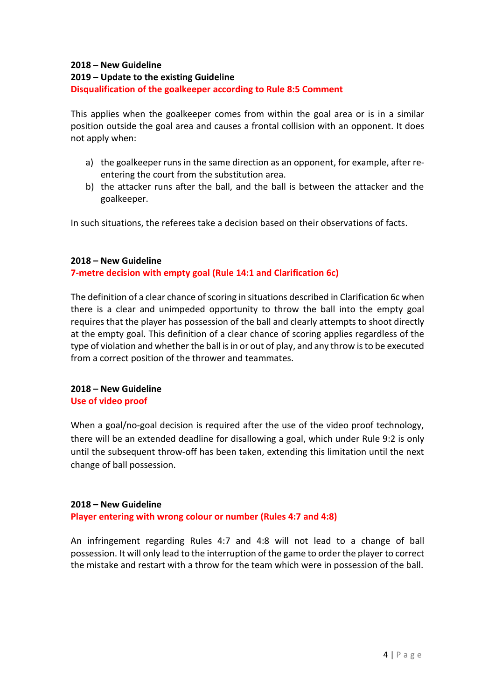# **2018 – New Guideline**

### **2019 – Update to the existing Guideline**

### **Disqualification of the goalkeeper according to Rule 8:5 Comment**

This applies when the goalkeeper comes from within the goal area or is in a similar position outside the goal area and causes a frontal collision with an opponent. It does not apply when:

- a) the goalkeeper runs in the same direction as an opponent, for example, after reentering the court from the substitution area.
- b) the attacker runs after the ball, and the ball is between the attacker and the goalkeeper.

In such situations, the referees take a decision based on their observations of facts.

### **2018 – New Guideline**

# **7-metre decision with empty goal (Rule 14:1 and Clarification 6c)**

The definition of a clear chance of scoring in situations described in Clarification 6c when there is a clear and unimpeded opportunity to throw the ball into the empty goal requires that the player has possession of the ball and clearly attempts to shoot directly at the empty goal. This definition of a clear chance of scoring applies regardless of the type of violation and whether the ball is in or out of play, and any throw is to be executed from a correct position of the thrower and teammates.

### **2018 – New Guideline Use of video proof**

When a goal/no-goal decision is required after the use of the video proof technology, there will be an extended deadline for disallowing a goal, which under Rule 9:2 is only until the subsequent throw-off has been taken, extending this limitation until the next change of ball possession.

### **2018 – New Guideline**

**Player entering with wrong colour or number (Rules 4:7 and 4:8)**

An infringement regarding Rules 4:7 and 4:8 will not lead to a change of ball possession. It will only lead to the interruption of the game to order the player to correct the mistake and restart with a throw for the team which were in possession of the ball.